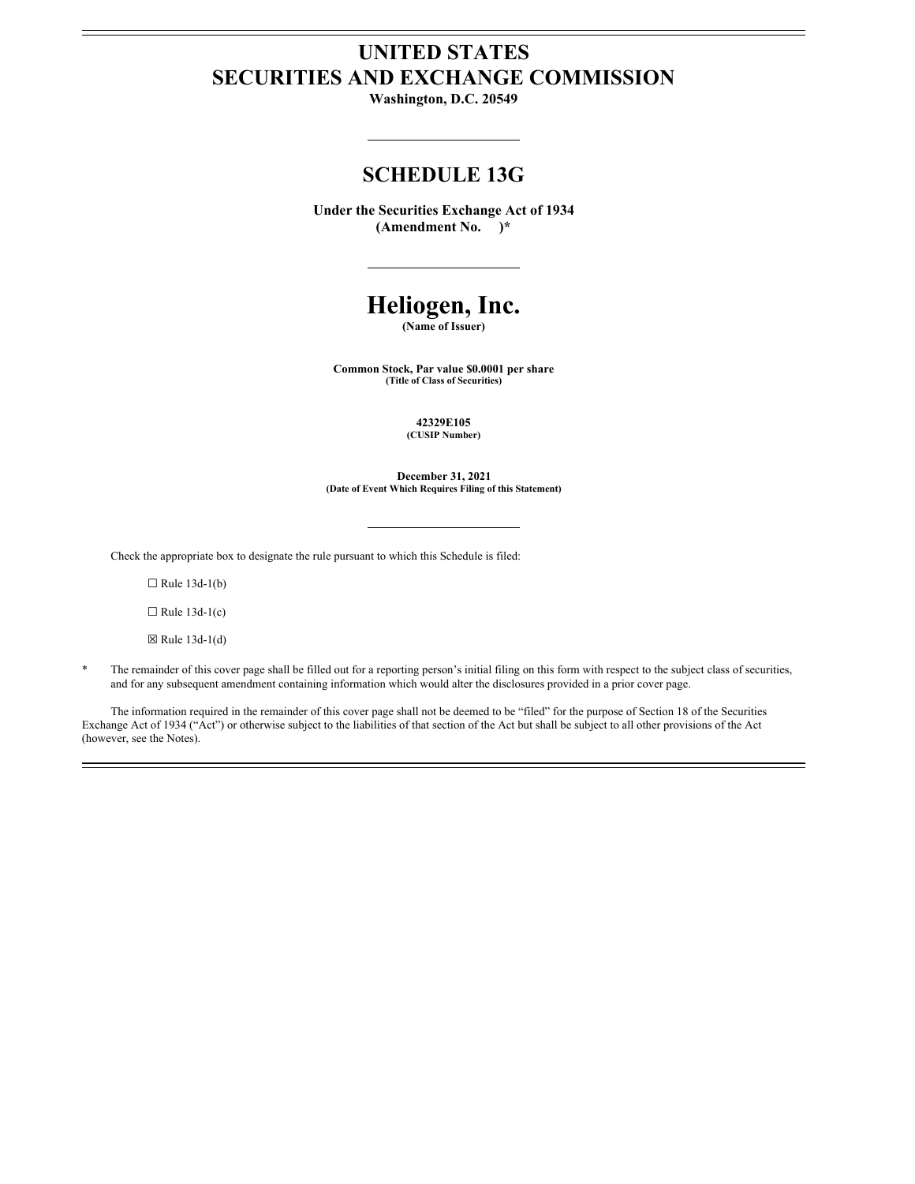# **UNITED STATES SECURITIES AND EXCHANGE COMMISSION**

**Washington, D.C. 20549**

# **SCHEDULE 13G**

**Under the Securities Exchange Act of 1934 (Amendment No. )\***

# **Heliogen, Inc.**

**(Name of Issuer)**

**Common Stock, Par value \$0.0001 per share (Title of Class of Securities)**

> **42329E105 (CUSIP Number)**

**December 31, 2021 (Date of Event Which Requires Filing of this Statement)**

Check the appropriate box to designate the rule pursuant to which this Schedule is filed:

 $\Box$  Rule 13d-1(b)

 $\Box$  Rule 13d-1(c)

 $\boxtimes$  Rule 13d-1(d)

The remainder of this cover page shall be filled out for a reporting person's initial filing on this form with respect to the subject class of securities, and for any subsequent amendment containing information which would alter the disclosures provided in a prior cover page.

The information required in the remainder of this cover page shall not be deemed to be "filed" for the purpose of Section 18 of the Securities Exchange Act of 1934 ("Act") or otherwise subject to the liabilities of that section of the Act but shall be subject to all other provisions of the Act (however, see the Notes).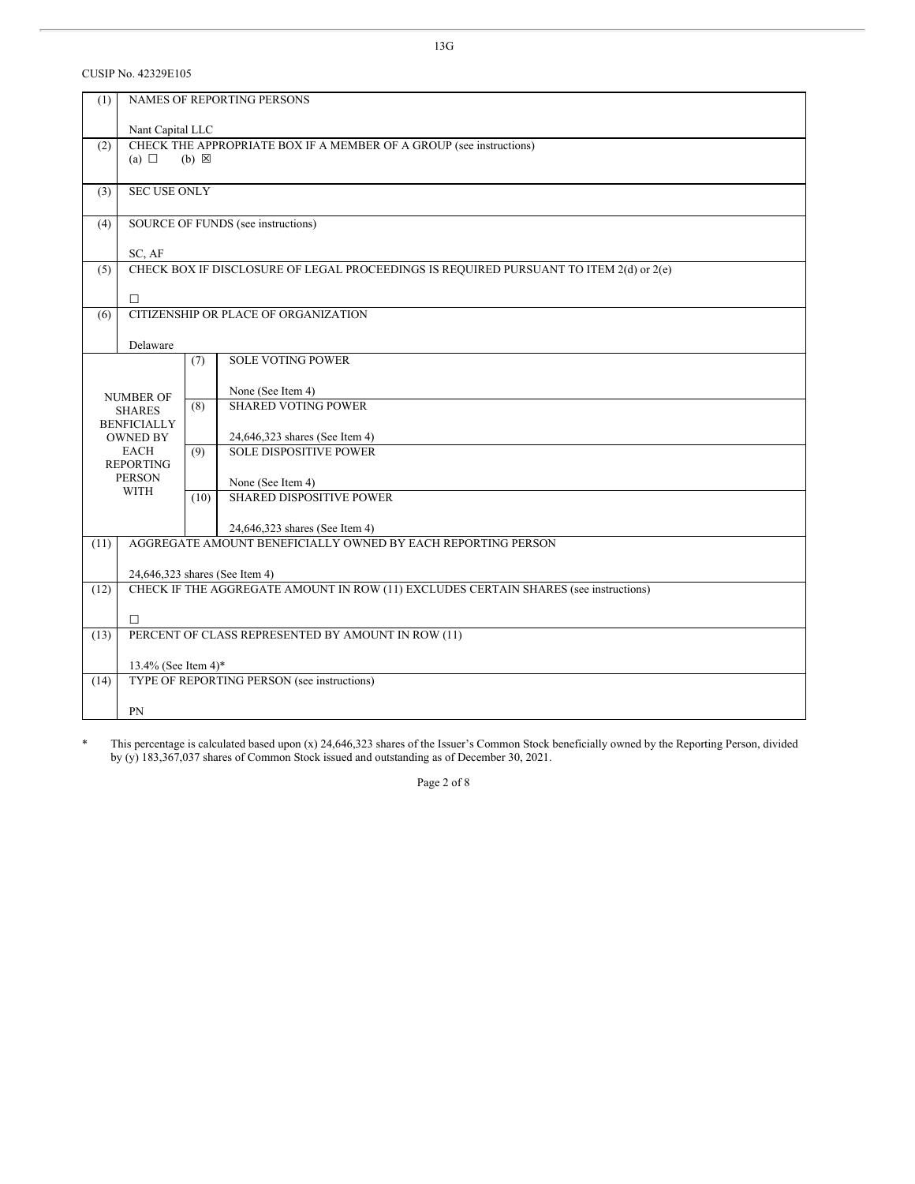CUSIP No. 42329E105

| (1)  | NAMES OF REPORTING PERSONS                                                                           |      |                                                              |  |  |  |
|------|------------------------------------------------------------------------------------------------------|------|--------------------------------------------------------------|--|--|--|
|      | Nant Capital LLC                                                                                     |      |                                                              |  |  |  |
| (2)  | CHECK THE APPROPRIATE BOX IF A MEMBER OF A GROUP (see instructions)<br>(a) $\Box$<br>$(b) \boxtimes$ |      |                                                              |  |  |  |
| (3)  | <b>SEC USE ONLY</b>                                                                                  |      |                                                              |  |  |  |
| (4)  | SOURCE OF FUNDS (see instructions)                                                                   |      |                                                              |  |  |  |
|      | SC, AF                                                                                               |      |                                                              |  |  |  |
| (5)  | CHECK BOX IF DISCLOSURE OF LEGAL PROCEEDINGS IS REQUIRED PURSUANT TO ITEM 2(d) or 2(e)               |      |                                                              |  |  |  |
|      | $\Box$                                                                                               |      |                                                              |  |  |  |
| (6)  | CITIZENSHIP OR PLACE OF ORGANIZATION                                                                 |      |                                                              |  |  |  |
|      | Delaware                                                                                             |      |                                                              |  |  |  |
|      |                                                                                                      | (7)  | <b>SOLE VOTING POWER</b>                                     |  |  |  |
|      |                                                                                                      |      |                                                              |  |  |  |
|      | <b>NUMBER OF</b>                                                                                     |      | None (See Item 4)                                            |  |  |  |
|      | <b>SHARES</b>                                                                                        | (8)  | <b>SHARED VOTING POWER</b>                                   |  |  |  |
|      | <b>BENFICIALLY</b><br><b>OWNED BY</b>                                                                |      | 24,646,323 shares (See Item 4)                               |  |  |  |
|      | EACH                                                                                                 | (9)  | <b>SOLE DISPOSITIVE POWER</b>                                |  |  |  |
|      | <b>REPORTING</b>                                                                                     |      |                                                              |  |  |  |
|      | <b>PERSON</b><br><b>WITH</b>                                                                         |      | None (See Item 4)                                            |  |  |  |
|      |                                                                                                      | (10) | <b>SHARED DISPOSITIVE POWER</b>                              |  |  |  |
|      |                                                                                                      |      | 24,646,323 shares (See Item 4)                               |  |  |  |
| (11) |                                                                                                      |      | AGGREGATE AMOUNT BENEFICIALLY OWNED BY EACH REPORTING PERSON |  |  |  |
|      |                                                                                                      |      |                                                              |  |  |  |
|      | 24,646,323 shares (See Item 4)                                                                       |      |                                                              |  |  |  |
| (12) | CHECK IF THE AGGREGATE AMOUNT IN ROW (11) EXCLUDES CERTAIN SHARES (see instructions)                 |      |                                                              |  |  |  |
|      | $\Box$                                                                                               |      |                                                              |  |  |  |
| (13) |                                                                                                      |      | PERCENT OF CLASS REPRESENTED BY AMOUNT IN ROW (11)           |  |  |  |
|      |                                                                                                      |      |                                                              |  |  |  |
| (14) | 13.4% (See Item 4)*<br>TYPE OF REPORTING PERSON (see instructions)                                   |      |                                                              |  |  |  |
|      |                                                                                                      |      |                                                              |  |  |  |
|      | PN                                                                                                   |      |                                                              |  |  |  |

\* This percentage is calculated based upon (x) 24,646,323 shares of the Issuer's Common Stock beneficially owned by the Reporting Person, divided by (y) 183,367,037 shares of Common Stock issued and outstanding as of December 30, 2021.

Page 2 of 8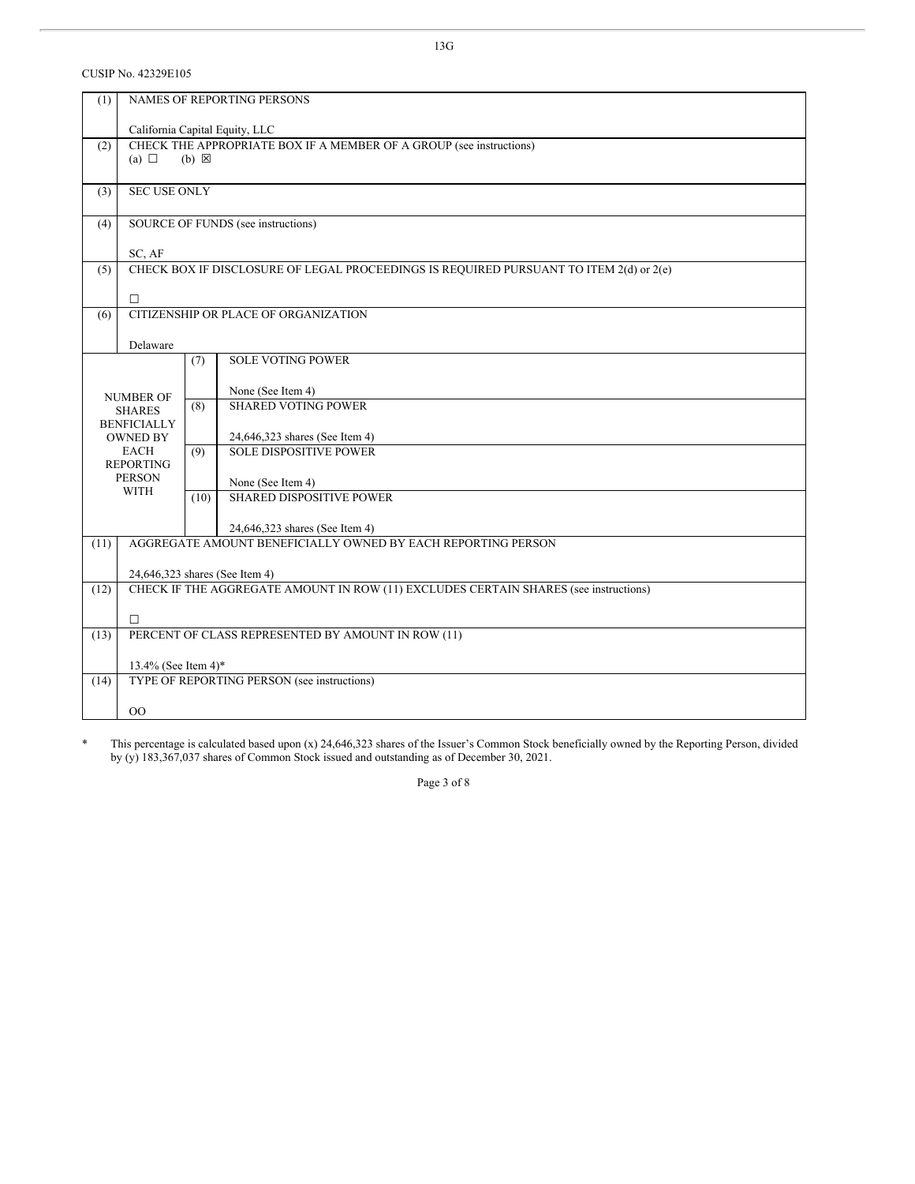CUSIP No. 42329E105

| (1)  | NAMES OF REPORTING PERSONS                                                           |                 |                                                                                        |  |  |  |
|------|--------------------------------------------------------------------------------------|-----------------|----------------------------------------------------------------------------------------|--|--|--|
|      | California Capital Equity, LLC                                                       |                 |                                                                                        |  |  |  |
| (2)  |                                                                                      |                 | CHECK THE APPROPRIATE BOX IF A MEMBER OF A GROUP (see instructions)                    |  |  |  |
|      | (a) $\Box$                                                                           | $(b) \boxtimes$ |                                                                                        |  |  |  |
|      |                                                                                      |                 |                                                                                        |  |  |  |
| (3)  | <b>SEC USE ONLY</b>                                                                  |                 |                                                                                        |  |  |  |
|      |                                                                                      |                 |                                                                                        |  |  |  |
| (4)  |                                                                                      |                 | SOURCE OF FUNDS (see instructions)                                                     |  |  |  |
|      |                                                                                      |                 |                                                                                        |  |  |  |
|      | SC, AF                                                                               |                 |                                                                                        |  |  |  |
| (5)  |                                                                                      |                 | CHECK BOX IF DISCLOSURE OF LEGAL PROCEEDINGS IS REQUIRED PURSUANT TO ITEM 2(d) or 2(e) |  |  |  |
|      |                                                                                      |                 |                                                                                        |  |  |  |
|      | $\Box$                                                                               |                 |                                                                                        |  |  |  |
|      |                                                                                      |                 | CITIZENSHIP OR PLACE OF ORGANIZATION                                                   |  |  |  |
| (6)  |                                                                                      |                 |                                                                                        |  |  |  |
|      |                                                                                      |                 |                                                                                        |  |  |  |
|      | Delaware                                                                             |                 |                                                                                        |  |  |  |
|      |                                                                                      | (7)             | <b>SOLE VOTING POWER</b>                                                               |  |  |  |
|      |                                                                                      |                 |                                                                                        |  |  |  |
|      | <b>NUMBER OF</b>                                                                     |                 | None (See Item 4)                                                                      |  |  |  |
|      | <b>SHARES</b>                                                                        | (8)             | <b>SHARED VOTING POWER</b>                                                             |  |  |  |
|      | <b>BENFICIALLY</b>                                                                   |                 |                                                                                        |  |  |  |
|      | <b>OWNED BY</b>                                                                      |                 | 24,646,323 shares (See Item 4)                                                         |  |  |  |
|      | <b>EACH</b>                                                                          | (9)             | <b>SOLE DISPOSITIVE POWER</b>                                                          |  |  |  |
|      | <b>REPORTING</b>                                                                     |                 |                                                                                        |  |  |  |
|      | <b>PERSON</b>                                                                        |                 | None (See Item 4)                                                                      |  |  |  |
|      | <b>WITH</b>                                                                          | (10)            | <b>SHARED DISPOSITIVE POWER</b>                                                        |  |  |  |
|      |                                                                                      |                 |                                                                                        |  |  |  |
|      |                                                                                      |                 |                                                                                        |  |  |  |
|      |                                                                                      |                 | 24,646,323 shares (See Item 4)                                                         |  |  |  |
| (11) |                                                                                      |                 | AGGREGATE AMOUNT BENEFICIALLY OWNED BY EACH REPORTING PERSON                           |  |  |  |
|      |                                                                                      |                 |                                                                                        |  |  |  |
|      | 24,646,323 shares (See Item 4)                                                       |                 |                                                                                        |  |  |  |
| (12) | CHECK IF THE AGGREGATE AMOUNT IN ROW (11) EXCLUDES CERTAIN SHARES (see instructions) |                 |                                                                                        |  |  |  |
|      |                                                                                      |                 |                                                                                        |  |  |  |
|      | $\Box$                                                                               |                 |                                                                                        |  |  |  |
| (13) | PERCENT OF CLASS REPRESENTED BY AMOUNT IN ROW (11)                                   |                 |                                                                                        |  |  |  |
|      |                                                                                      |                 |                                                                                        |  |  |  |
|      | 13.4% (See Item 4)*                                                                  |                 |                                                                                        |  |  |  |
| (14) | TYPE OF REPORTING PERSON (see instructions)                                          |                 |                                                                                        |  |  |  |
|      |                                                                                      |                 |                                                                                        |  |  |  |
|      | 00                                                                                   |                 |                                                                                        |  |  |  |
|      |                                                                                      |                 |                                                                                        |  |  |  |

\* This percentage is calculated based upon (x) 24,646,323 shares of the Issuer's Common Stock beneficially owned by the Reporting Person, divided by (y) 183,367,037 shares of Common Stock issued and outstanding as of December 30, 2021.

Page 3 of 8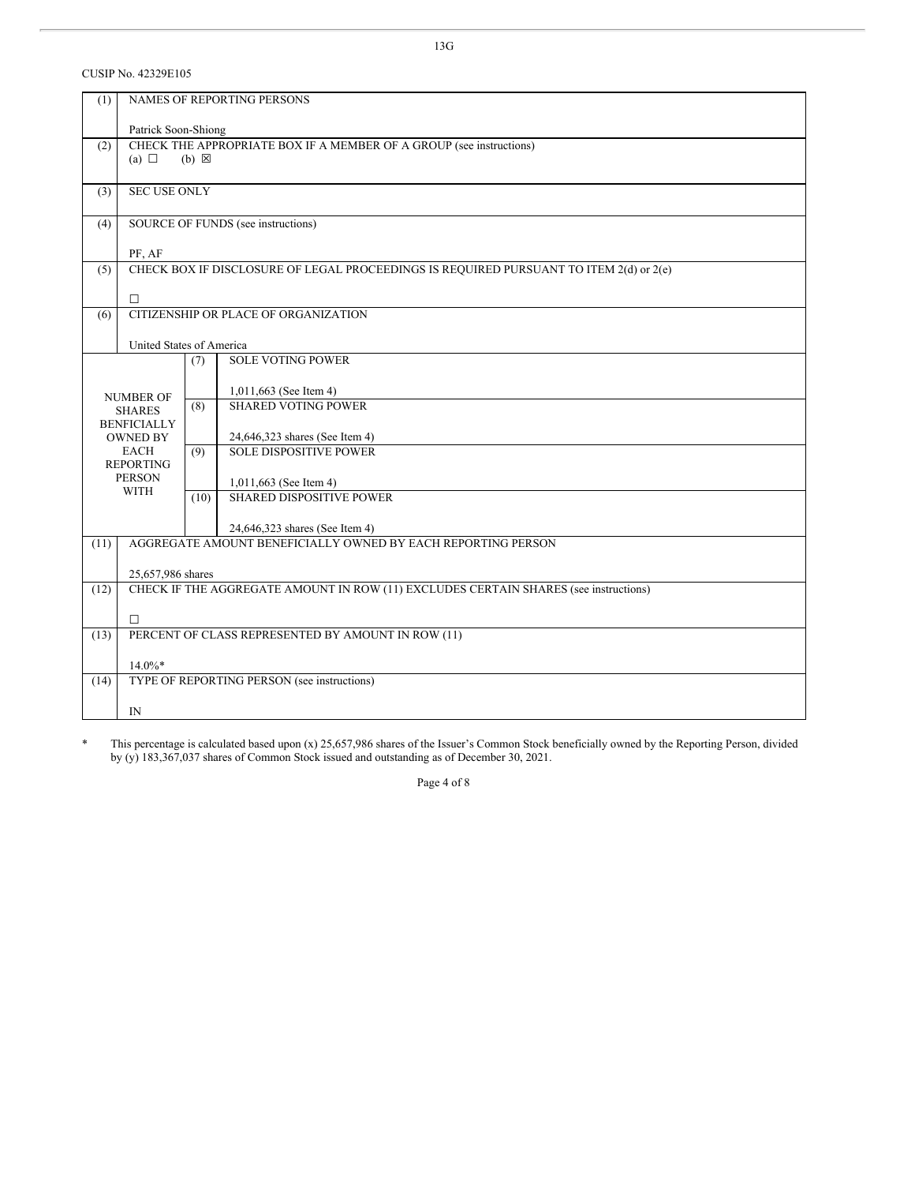CUSIP No. 42329E105

| (1)  | NAMES OF REPORTING PERSONS                                                                                |      |                                    |  |  |
|------|-----------------------------------------------------------------------------------------------------------|------|------------------------------------|--|--|
|      | Patrick Soon-Shiong                                                                                       |      |                                    |  |  |
| (2)  | CHECK THE APPROPRIATE BOX IF A MEMBER OF A GROUP (see instructions)<br>(a) $\Box$<br>$(b) \boxtimes$      |      |                                    |  |  |
| (3)  | <b>SEC USE ONLY</b>                                                                                       |      |                                    |  |  |
|      |                                                                                                           |      |                                    |  |  |
| (4)  |                                                                                                           |      | SOURCE OF FUNDS (see instructions) |  |  |
|      | PF, AF                                                                                                    |      |                                    |  |  |
| (5)  | CHECK BOX IF DISCLOSURE OF LEGAL PROCEEDINGS IS REQUIRED PURSUANT TO ITEM 2(d) or 2(e)                    |      |                                    |  |  |
|      | $\Box$                                                                                                    |      |                                    |  |  |
| (6)  | CITIZENSHIP OR PLACE OF ORGANIZATION                                                                      |      |                                    |  |  |
|      |                                                                                                           |      |                                    |  |  |
|      | United States of America                                                                                  |      | <b>SOLE VOTING POWER</b>           |  |  |
|      |                                                                                                           | (7)  |                                    |  |  |
|      | <b>NUMBER OF</b>                                                                                          |      | 1,011,663 (See Item 4)             |  |  |
|      | <b>SHARES</b>                                                                                             | (8)  | <b>SHARED VOTING POWER</b>         |  |  |
|      | <b>BENFICIALLY</b><br><b>OWNED BY</b>                                                                     |      | 24,646,323 shares (See Item 4)     |  |  |
|      | EACH                                                                                                      | (9)  | <b>SOLE DISPOSITIVE POWER</b>      |  |  |
|      | <b>REPORTING</b>                                                                                          |      |                                    |  |  |
|      | <b>PERSON</b><br><b>WITH</b>                                                                              |      | 1,011,663 (See Item 4)             |  |  |
|      |                                                                                                           | (10) | <b>SHARED DISPOSITIVE POWER</b>    |  |  |
|      |                                                                                                           |      | 24,646,323 shares (See Item 4)     |  |  |
| (11) | AGGREGATE AMOUNT BENEFICIALLY OWNED BY EACH REPORTING PERSON                                              |      |                                    |  |  |
|      |                                                                                                           |      |                                    |  |  |
| (12) | 25,657,986 shares<br>CHECK IF THE AGGREGATE AMOUNT IN ROW (11) EXCLUDES CERTAIN SHARES (see instructions) |      |                                    |  |  |
|      |                                                                                                           |      |                                    |  |  |
|      | $\Box$                                                                                                    |      |                                    |  |  |
| (13) | PERCENT OF CLASS REPRESENTED BY AMOUNT IN ROW (11)                                                        |      |                                    |  |  |
|      | $14.0\%*$                                                                                                 |      |                                    |  |  |
| (14) | TYPE OF REPORTING PERSON (see instructions)                                                               |      |                                    |  |  |
|      | $_{\rm IN}$                                                                                               |      |                                    |  |  |
|      |                                                                                                           |      |                                    |  |  |

\* This percentage is calculated based upon (x) 25,657,986 shares of the Issuer's Common Stock beneficially owned by the Reporting Person, divided by (y) 183,367,037 shares of Common Stock issued and outstanding as of December 30, 2021.

Page 4 of 8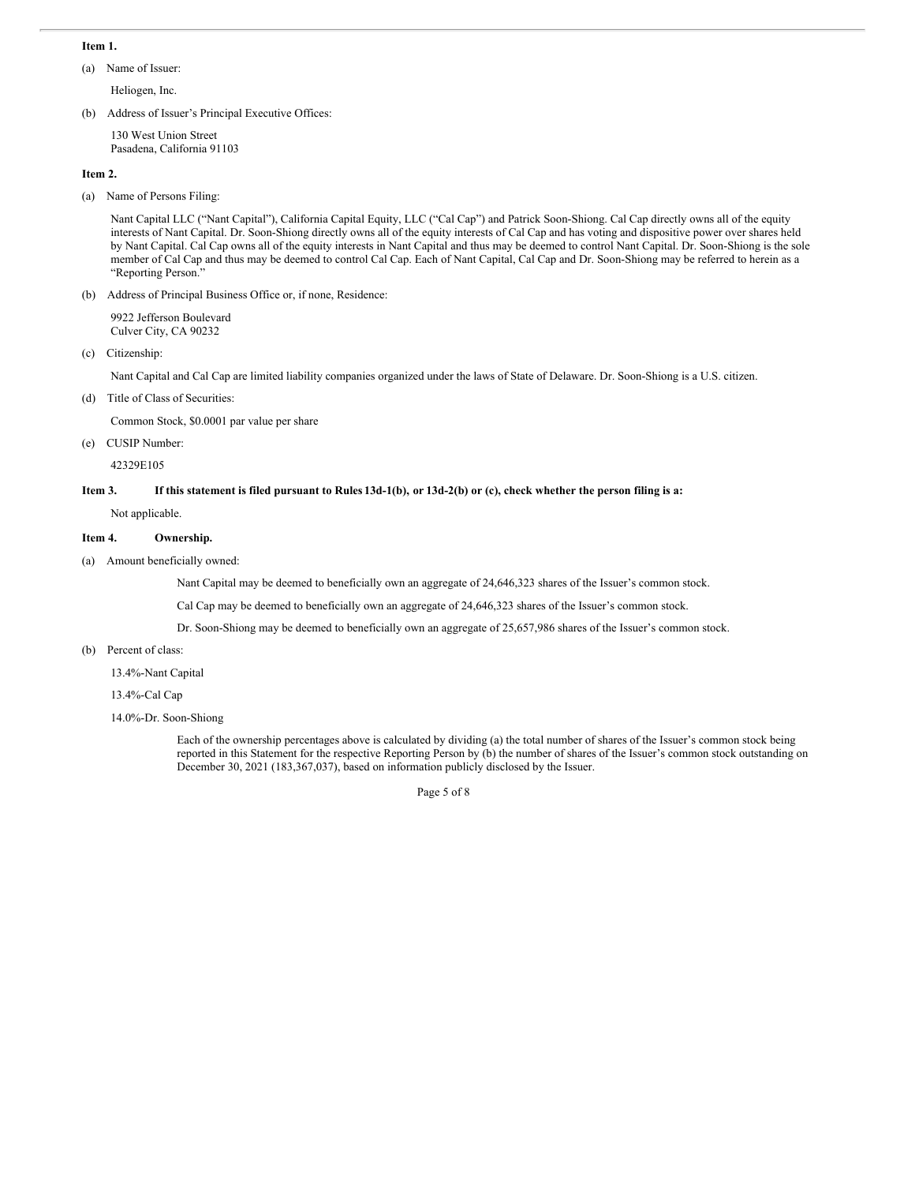#### **Item 1.**

(a) Name of Issuer:

Heliogen, Inc.

(b) Address of Issuer's Principal Executive Offices:

130 West Union Street Pasadena, California 91103

#### **Item 2.**

(a) Name of Persons Filing:

Nant Capital LLC ("Nant Capital"), California Capital Equity, LLC ("Cal Cap") and Patrick Soon-Shiong. Cal Cap directly owns all of the equity interests of Nant Capital. Dr. Soon-Shiong directly owns all of the equity interests of Cal Cap and has voting and dispositive power over shares held by Nant Capital. Cal Cap owns all of the equity interests in Nant Capital and thus may be deemed to control Nant Capital. Dr. Soon-Shiong is the sole member of Cal Cap and thus may be deemed to control Cal Cap. Each of Nant Capital, Cal Cap and Dr. Soon-Shiong may be referred to herein as a "Reporting Person."

(b) Address of Principal Business Office or, if none, Residence:

9922 Jefferson Boulevard Culver City, CA 90232

(c) Citizenship:

Nant Capital and Cal Cap are limited liability companies organized under the laws of State of Delaware. Dr. Soon-Shiong is a U.S. citizen.

(d) Title of Class of Securities:

Common Stock, \$0.0001 par value per share

## (e) CUSIP Number:

42329E105

### Item 3. If this statement is filed pursuant to Rules 13d-1(b), or 13d-2(b) or (c), check whether the person filing is a:

Not applicable.

# **Item 4. Ownership.**

(a) Amount beneficially owned:

Nant Capital may be deemed to beneficially own an aggregate of 24,646,323 shares of the Issuer's common stock.

Cal Cap may be deemed to beneficially own an aggregate of 24,646,323 shares of the Issuer's common stock.

Dr. Soon-Shiong may be deemed to beneficially own an aggregate of 25,657,986 shares of the Issuer's common stock.

(b) Percent of class:

13.4%-Nant Capital

13.4%-Cal Cap

14.0%-Dr. Soon-Shiong

Each of the ownership percentages above is calculated by dividing (a) the total number of shares of the Issuer's common stock being reported in this Statement for the respective Reporting Person by (b) the number of shares of the Issuer's common stock outstanding on December 30, 2021 (183,367,037), based on information publicly disclosed by the Issuer.

Page 5 of 8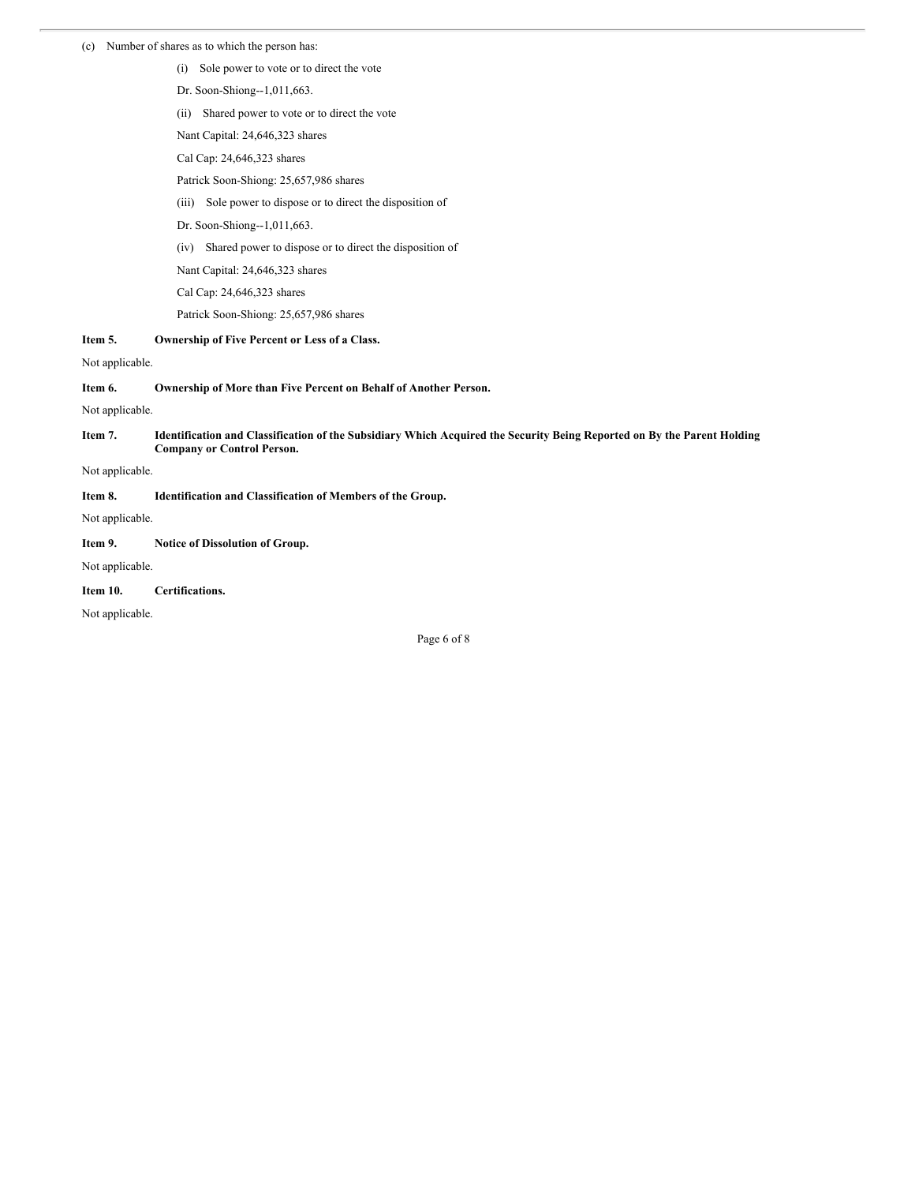#### (c) Number of shares as to which the person has:

- (i) Sole power to vote or to direct the vote
- Dr. Soon-Shiong--1,011,663.
- (ii) Shared power to vote or to direct the vote
- Nant Capital: 24,646,323 shares
- Cal Cap: 24,646,323 shares
- Patrick Soon-Shiong: 25,657,986 shares
- (iii) Sole power to dispose or to direct the disposition of
- Dr. Soon-Shiong--1,011,663.
- (iv) Shared power to dispose or to direct the disposition of
- Nant Capital: 24,646,323 shares
- Cal Cap: 24,646,323 shares
- Patrick Soon-Shiong: 25,657,986 shares
- **Item 5. Ownership of Five Percent or Less of a Class.**

#### Not applicable.

**Item 6. Ownership of More than Five Percent on Behalf of Another Person.**

Not applicable.

Item 7. Identification and Classification of the Subsidiary Which Acquired the Security Being Reported on By the Parent Holding **Company or Control Person.**

Not applicable.

**Item 8. Identification and Classification of Members of the Group.**

Not applicable.

#### **Item 9. Notice of Dissolution of Group.**

Not applicable.

# **Item 10. Certifications.**

Not applicable.

Page 6 of 8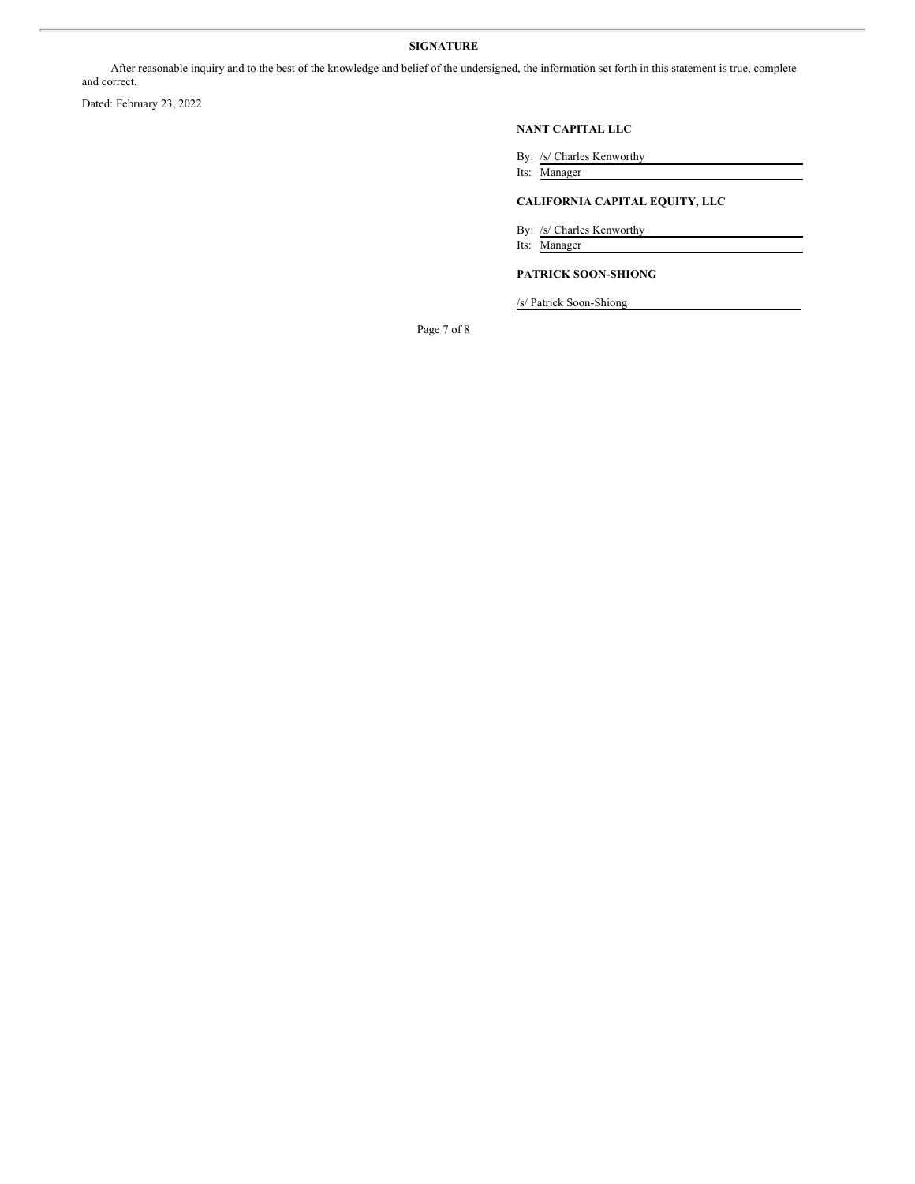# **SIGNATURE**

After reasonable inquiry and to the best of the knowledge and belief of the undersigned, the information set forth in this statement is true, complete and correct.

Dated: February 23, 2022

#### **NANT CAPITAL LLC**

By: /s/ Charles Kenworthy

Its: Manager

# **CALIFORNIA CAPITAL EQUITY, LLC**

By: /s/ Charles Kenworthy

Its: Manager

# **PATRICK SOON-SHIONG**

/s/ Patrick Soon-Shiong

Page 7 of 8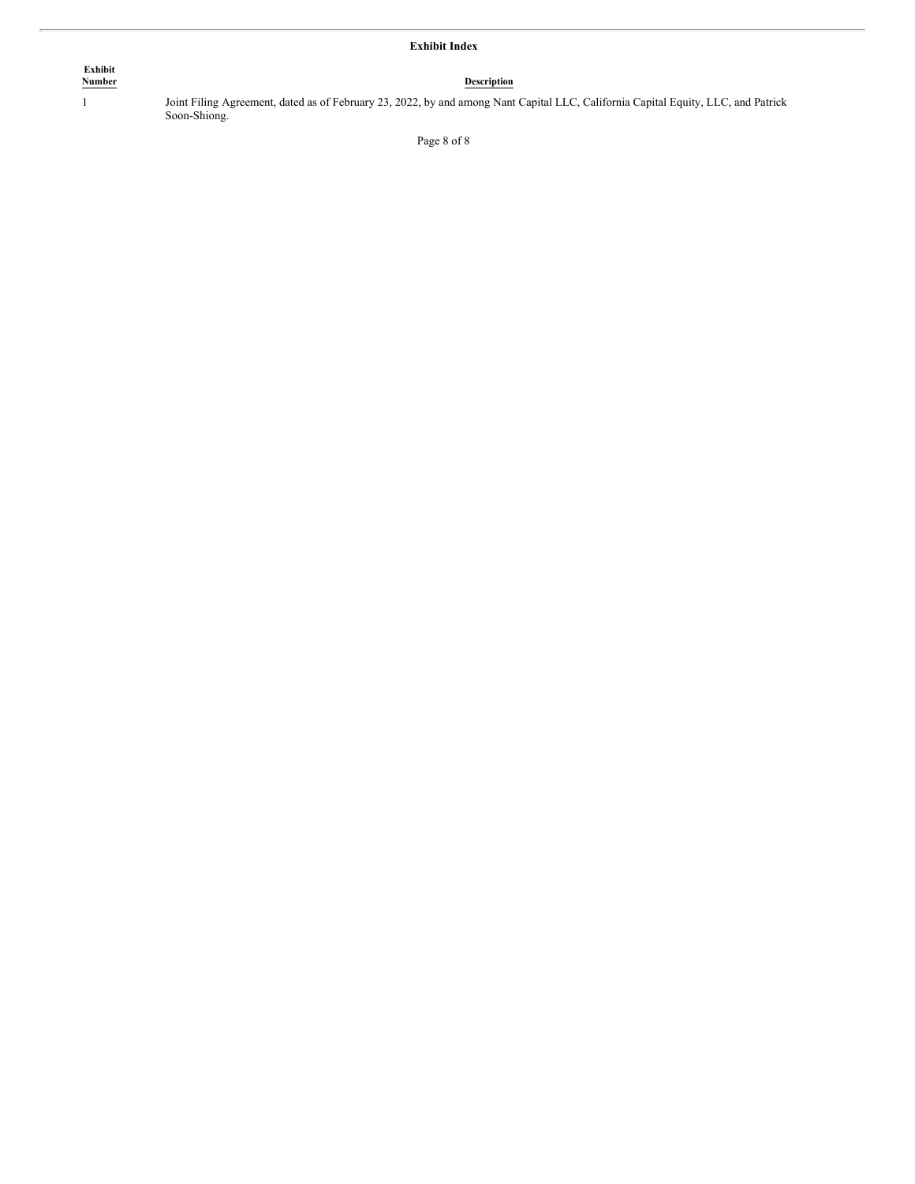# **Exhibit Index**

| Exhibit |             |
|---------|-------------|
| Number  | Description |

1 Joint Filing Agreement, dated as of February 23, 2022, by and among Nant Capital LLC, California Capital Equity, LLC, and Patrick Soon-Shiong.

Page 8 of 8